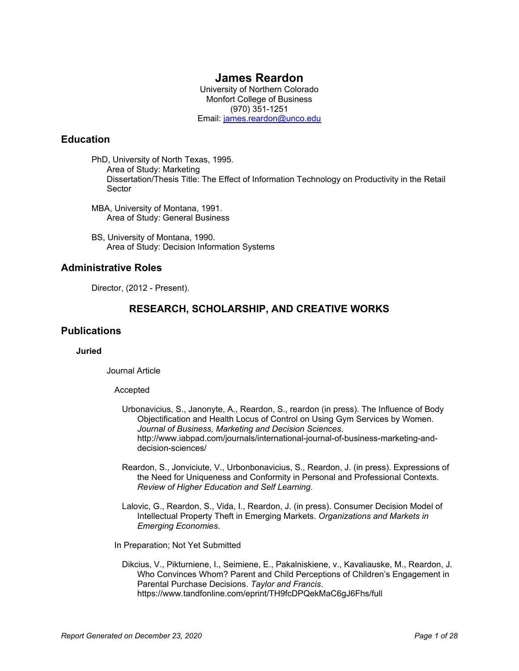# **James Reardon**

University of Northern Colorado Monfort College of Business (970) 351-1251 Email: [james.reardon@unco.edu](mailto:james.reardon@unco.edu)

# **Education**

PhD, University of North Texas, 1995. Area of Study: Marketing Dissertation/Thesis Title: The Effect of Information Technology on Productivity in the Retail Sector

- MBA, University of Montana, 1991. Area of Study: General Business
- BS, University of Montana, 1990. Area of Study: Decision Information Systems

# **Administrative Roles**

Director, (2012 - Present).

# **RESEARCH, SCHOLARSHIP, AND CREATIVE WORKS**

# **Publications**

### **Juried**

Journal Article

### Accepted

- Urbonavicius, S., Janonyte, A., Reardon, S., reardon (in press). The Influence of Body Objectification and Health Locus of Control on Using Gym Services by Women. *Journal of Business, Marketing and Decision Sciences*. http://www.iabpad.com/journals/international-journal-of-business-marketing-anddecision-sciences/
- Reardon, S., Jonviciute, V., Urbonbonavicius, S., Reardon, J. (in press). Expressions of the Need for Uniqueness and Conformity in Personal and Professional Contexts. *Review of Higher Education and Self Learning*.
- Lalovic, G., Reardon, S., Vida, I., Reardon, J. (in press). Consumer Decision Model of Intellectual Property Theft in Emerging Markets. *Organizations and Markets in Emerging Economies*.
- In Preparation; Not Yet Submitted
	- Dikcius, V., Pikturniene, I., Seimiene, E., Pakalniskiene, v., Kavaliauske, M., Reardon, J. Who Convinces Whom? Parent and Child Perceptions of Children's Engagement in Parental Purchase Decisions. *Taylor and Francis*. https://www.tandfonline.com/eprint/TH9fcDPQekMaC6gJ6Fhs/full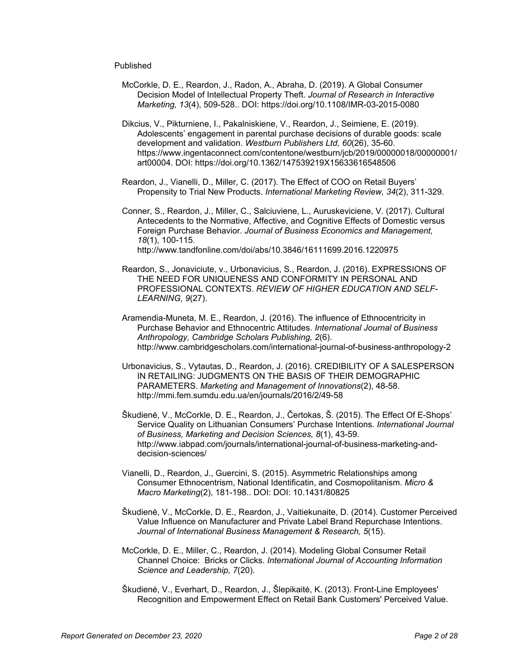### Published

- McCorkle, D. E., Reardon, J., Radon, A., Abraha, D. (2019). A Global Consumer Decision Model of Intellectual Property Theft. *Journal of Research in Interactive Marketing, 13*(4), 509-528.. DOI: https://doi.org/10.1108/IMR-03-2015-0080
- Dikcius, V., Pikturniene, I., Pakalniskiene, V., Reardon, J., Seimiene, E. (2019). Adolescents' engagement in parental purchase decisions of durable goods: scale development and validation. *Westburn Publishers Ltd, 60*(26), 35-60. https://www.ingentaconnect.com/contentone/westburn/jcb/2019/00000018/00000001/ art00004. DOI: https://doi.org/10.1362/147539219X15633616548506
- Reardon, J., Vianelli, D., Miller, C. (2017). The Effect of COO on Retail Buyers' Propensity to Trial New Products. *International Marketing Review, 34*(2), 311-329.
- Conner, S., Reardon, J., Miller, C., Salciuviene, L., Auruskeviciene, V. (2017). Cultural Antecedents to the Normative, Affective, and Cognitive Effects of Domestic versus Foreign Purchase Behavior. *Journal of Business Economics and Management, 18*(1), 100-115. http://www.tandfonline.com/doi/abs/10.3846/16111699.2016.1220975
- Reardon, S., Jonaviciute, v., Urbonavicius, S., Reardon, J. (2016). EXPRESSIONS OF THE NEED FOR UNIQUENESS AND CONFORMITY IN PERSONAL AND PROFESSIONAL CONTEXTS. *REVIEW OF HIGHER EDUCATION AND SELF-LEARNING, 9*(27).
- Aramendia-Muneta, M. E., Reardon, J. (2016). The influence of Ethnocentricity in Purchase Behavior and Ethnocentric Attitudes. *International Journal of Business Anthropology, Cambridge Scholars Publishing, 2*(6). http://www.cambridgescholars.com/international-journal-of-business-anthropology-2
- Urbonavicius, S., Vytautas, D., Reardon, J. (2016). CREDIBILITY OF A SALESPERSON IN RETAILING: JUDGMENTS ON THE BASIS OF THEIR DEMOGRAPHIC PARAMETERS. *Marketing and Management of Innovations*(2), 48-58. http://mmi.fem.sumdu.edu.ua/en/journals/2016/2/49-58
- Škudienė, V., McCorkle, D. E., Reardon, J., Čertokas, Š. (2015). The Effect Of E-Shops' Service Quality on Lithuanian Consumers' Purchase Intentions. *International Journal of Business, Marketing and Decision Sciences, 8*(1), 43-59. http://www.iabpad.com/journals/international-journal-of-business-marketing-anddecision-sciences/
- Vianelli, D., Reardon, J., Guercini, S. (2015). Asymmetric Relationships among Consumer Ethnocentrism, National Identificatin, and Cosmopolitanism. *Micro & Macro Marketing*(2), 181-198.. DOI: DOI: 10.1431/80825
- Škudienė, V., McCorkle, D. E., Reardon, J., Vaitiekunaite, D. (2014). Customer Perceived Value Influence on Manufacturer and Private Label Brand Repurchase Intentions. *Journal of International Business Management & Research, 5*(15).
- McCorkle, D. E., Miller, C., Reardon, J. (2014). Modeling Global Consumer Retail Channel Choice: Bricks or Clicks. *International Journal of Accounting Information Science and Leadership, 7*(20).
- Škudienė, V., Everhart, D., Reardon, J., Šlepikaitė, K. (2013). Front-Line Employees' Recognition and Empowerment Effect on Retail Bank Customers' Perceived Value.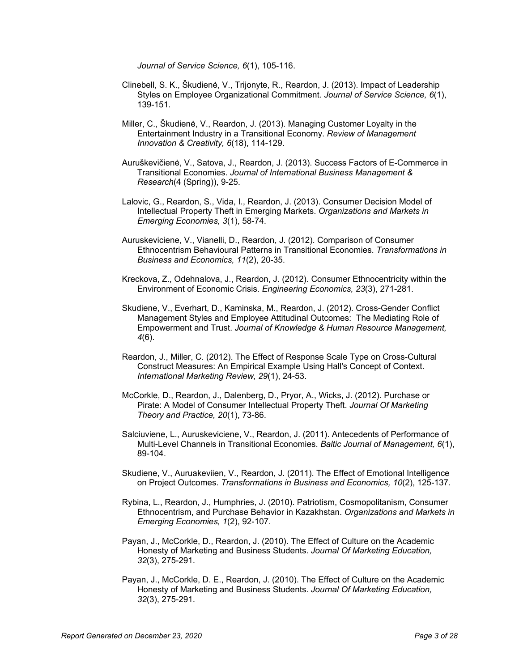*Journal of Service Science, 6*(1), 105-116.

- Clinebell, S. K., Škudienė, V., Trijonyte, R., Reardon, J. (2013). Impact of Leadership Styles on Employee Organizational Commitment. *Journal of Service Science, 6*(1), 139-151.
- Miller, C., Škudienė, V., Reardon, J. (2013). Managing Customer Loyalty in the Entertainment Industry in a Transitional Economy. *Review of Management Innovation & Creativity, 6*(18), 114-129.
- Auruškevičienė, V., Satova, J., Reardon, J. (2013). Success Factors of E-Commerce in Transitional Economies. *Journal of International Business Management & Research*(4 (Spring)), 9-25.
- Lalovic, G., Reardon, S., Vida, I., Reardon, J. (2013). Consumer Decision Model of Intellectual Property Theft in Emerging Markets. *Organizations and Markets in Emerging Economies, 3*(1), 58-74.
- Auruskeviciene, V., Vianelli, D., Reardon, J. (2012). Comparison of Consumer Ethnocentrism Behavioural Patterns in Transitional Economies. *Transformations in Business and Economics, 11*(2), 20-35.
- Kreckova, Z., Odehnalova, J., Reardon, J. (2012). Consumer Ethnocentricity within the Environment of Economic Crisis. *Engineering Economics, 23*(3), 271-281.
- Skudiene, V., Everhart, D., Kaminska, M., Reardon, J. (2012). Cross-Gender Conflict Management Styles and Employee Attitudinal Outcomes: The Mediating Role of Empowerment and Trust. *Journal of Knowledge & Human Resource Management, 4*(6).
- Reardon, J., Miller, C. (2012). The Effect of Response Scale Type on Cross-Cultural Construct Measures: An Empirical Example Using Hall's Concept of Context. *International Marketing Review, 29*(1), 24-53.
- McCorkle, D., Reardon, J., Dalenberg, D., Pryor, A., Wicks, J. (2012). Purchase or Pirate: A Model of Consumer Intellectual Property Theft. *Journal Of Marketing Theory and Practice, 20*(1), 73-86.
- Salciuviene, L., Auruskeviciene, V., Reardon, J. (2011). Antecedents of Performance of Multi-Level Channels in Transitional Economies. *Baltic Journal of Management, 6*(1), 89-104.
- Skudiene, V., Auruakeviien, V., Reardon, J. (2011). The Effect of Emotional Intelligence on Project Outcomes. *Transformations in Business and Economics, 10*(2), 125-137.
- Rybina, L., Reardon, J., Humphries, J. (2010). Patriotism, Cosmopolitanism, Consumer Ethnocentrism, and Purchase Behavior in Kazakhstan. *Organizations and Markets in Emerging Economies, 1*(2), 92-107.
- Payan, J., McCorkle, D., Reardon, J. (2010). The Effect of Culture on the Academic Honesty of Marketing and Business Students. *Journal Of Marketing Education, 32*(3), 275-291.
- Payan, J., McCorkle, D. E., Reardon, J. (2010). The Effect of Culture on the Academic Honesty of Marketing and Business Students. *Journal Of Marketing Education, 32*(3), 275-291.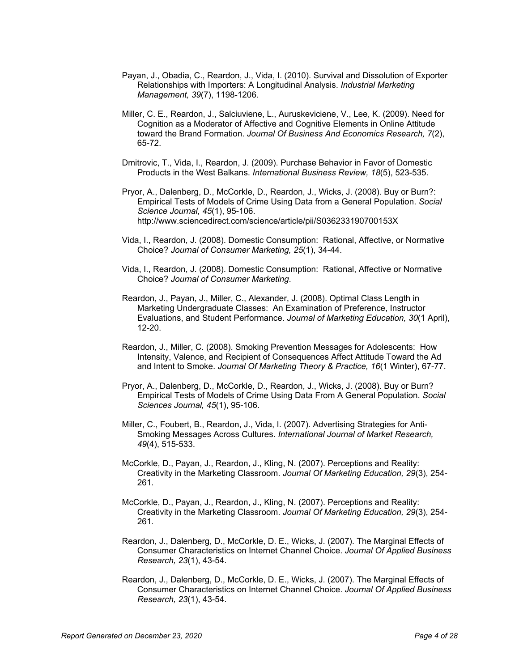- Payan, J., Obadia, C., Reardon, J., Vida, I. (2010). Survival and Dissolution of Exporter Relationships with Importers: A Longitudinal Analysis. *Industrial Marketing Management, 39*(7), 1198-1206.
- Miller, C. E., Reardon, J., Salciuviene, L., Auruskeviciene, V., Lee, K. (2009). Need for Cognition as a Moderator of Affective and Cognitive Elements in Online Attitude toward the Brand Formation. *Journal Of Business And Economics Research, 7*(2), 65-72.
- Dmitrovic, T., Vida, I., Reardon, J. (2009). Purchase Behavior in Favor of Domestic Products in the West Balkans. *International Business Review, 18*(5), 523-535.
- Pryor, A., Dalenberg, D., McCorkle, D., Reardon, J., Wicks, J. (2008). Buy or Burn?: Empirical Tests of Models of Crime Using Data from a General Population. *Social Science Journal, 45*(1), 95-106. http://www.sciencedirect.com/science/article/pii/S036233190700153X
- Vida, I., Reardon, J. (2008). Domestic Consumption: Rational, Affective, or Normative Choice? *Journal of Consumer Marketing, 25*(1), 34-44.
- Vida, I., Reardon, J. (2008). Domestic Consumption: Rational, Affective or Normative Choice? *Journal of Consumer Marketing*.
- Reardon, J., Payan, J., Miller, C., Alexander, J. (2008). Optimal Class Length in Marketing Undergraduate Classes: An Examination of Preference, Instructor Evaluations, and Student Performance. *Journal of Marketing Education, 30*(1 April), 12-20.
- Reardon, J., Miller, C. (2008). Smoking Prevention Messages for Adolescents: How Intensity, Valence, and Recipient of Consequences Affect Attitude Toward the Ad and Intent to Smoke. *Journal Of Marketing Theory & Practice, 16*(1 Winter), 67-77.
- Pryor, A., Dalenberg, D., McCorkle, D., Reardon, J., Wicks, J. (2008). Buy or Burn? Empirical Tests of Models of Crime Using Data From A General Population. *Social Sciences Journal, 45*(1), 95-106.
- Miller, C., Foubert, B., Reardon, J., Vida, I. (2007). Advertising Strategies for Anti-Smoking Messages Across Cultures. *International Journal of Market Research, 49*(4), 515-533.
- McCorkle, D., Payan, J., Reardon, J., Kling, N. (2007). Perceptions and Reality: Creativity in the Marketing Classroom. *Journal Of Marketing Education, 29*(3), 254- 261.
- McCorkle, D., Payan, J., Reardon, J., Kling, N. (2007). Perceptions and Reality: Creativity in the Marketing Classroom. *Journal Of Marketing Education, 29*(3), 254- 261.
- Reardon, J., Dalenberg, D., McCorkle, D. E., Wicks, J. (2007). The Marginal Effects of Consumer Characteristics on Internet Channel Choice. *Journal Of Applied Business Research, 23*(1), 43-54.
- Reardon, J., Dalenberg, D., McCorkle, D. E., Wicks, J. (2007). The Marginal Effects of Consumer Characteristics on Internet Channel Choice. *Journal Of Applied Business Research, 23*(1), 43-54.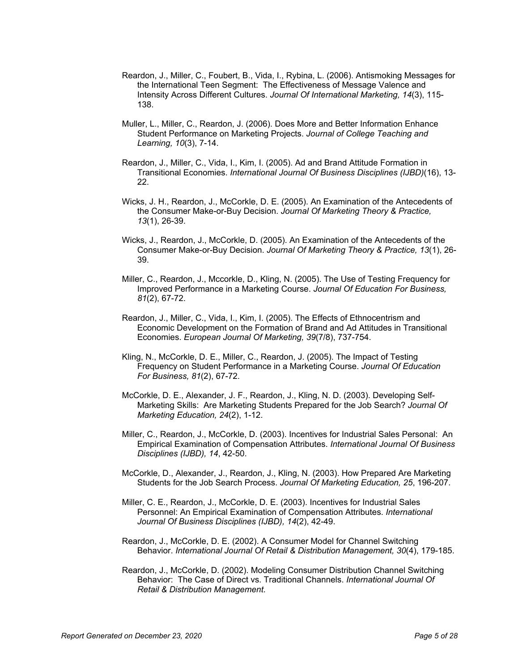- Reardon, J., Miller, C., Foubert, B., Vida, I., Rybina, L. (2006). Antismoking Messages for the International Teen Segment: The Effectiveness of Message Valence and Intensity Across Different Cultures. *Journal Of International Marketing, 14*(3), 115- 138.
- Muller, L., Miller, C., Reardon, J. (2006). Does More and Better Information Enhance Student Performance on Marketing Projects. *Journal of College Teaching and Learning, 10*(3), 7-14.
- Reardon, J., Miller, C., Vida, I., Kim, I. (2005). Ad and Brand Attitude Formation in Transitional Economies. *International Journal Of Business Disciplines (IJBD)*(16), 13- 22.
- Wicks, J. H., Reardon, J., McCorkle, D. E. (2005). An Examination of the Antecedents of the Consumer Make-or-Buy Decision. *Journal Of Marketing Theory & Practice, 13*(1), 26-39.
- Wicks, J., Reardon, J., McCorkle, D. (2005). An Examination of the Antecedents of the Consumer Make-or-Buy Decision. *Journal Of Marketing Theory & Practice, 13*(1), 26- 39.
- Miller, C., Reardon, J., Mccorkle, D., Kling, N. (2005). The Use of Testing Frequency for Improved Performance in a Marketing Course. *Journal Of Education For Business, 81*(2), 67-72.
- Reardon, J., Miller, C., Vida, I., Kim, I. (2005). The Effects of Ethnocentrism and Economic Development on the Formation of Brand and Ad Attitudes in Transitional Economies. *European Journal Of Marketing, 39*(7/8), 737-754.
- Kling, N., McCorkle, D. E., Miller, C., Reardon, J. (2005). The Impact of Testing Frequency on Student Performance in a Marketing Course. *Journal Of Education For Business, 81*(2), 67-72.
- McCorkle, D. E., Alexander, J. F., Reardon, J., Kling, N. D. (2003). Developing Self-Marketing Skills: Are Marketing Students Prepared for the Job Search? *Journal Of Marketing Education, 24*(2), 1-12.
- Miller, C., Reardon, J., McCorkle, D. (2003). Incentives for Industrial Sales Personal: An Empirical Examination of Compensation Attributes. *International Journal Of Business Disciplines (IJBD), 14*, 42-50.
- McCorkle, D., Alexander, J., Reardon, J., Kling, N. (2003). How Prepared Are Marketing Students for the Job Search Process. *Journal Of Marketing Education, 25*, 196-207.
- Miller, C. E., Reardon, J., McCorkle, D. E. (2003). Incentives for Industrial Sales Personnel: An Empirical Examination of Compensation Attributes. *International Journal Of Business Disciplines (IJBD), 14*(2), 42-49.
- Reardon, J., McCorkle, D. E. (2002). A Consumer Model for Channel Switching Behavior. *International Journal Of Retail & Distribution Management, 30*(4), 179-185.
- Reardon, J., McCorkle, D. (2002). Modeling Consumer Distribution Channel Switching Behavior: The Case of Direct vs. Traditional Channels. *International Journal Of Retail & Distribution Management*.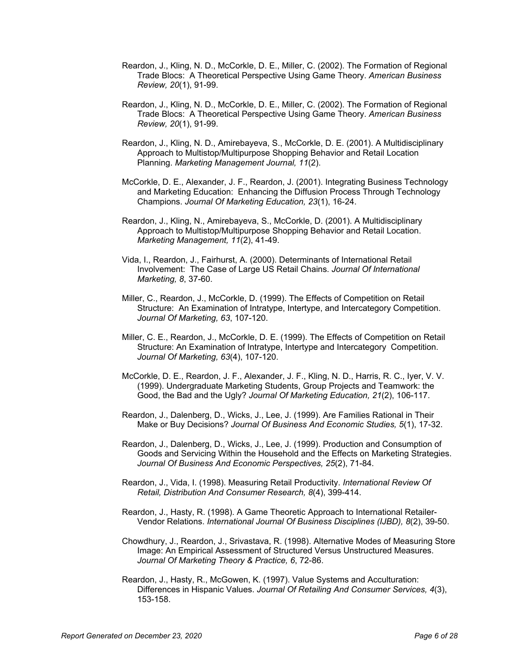- Reardon, J., Kling, N. D., McCorkle, D. E., Miller, C. (2002). The Formation of Regional Trade Blocs: A Theoretical Perspective Using Game Theory. *American Business Review, 20*(1), 91-99.
- Reardon, J., Kling, N. D., McCorkle, D. E., Miller, C. (2002). The Formation of Regional Trade Blocs: A Theoretical Perspective Using Game Theory. *American Business Review, 20*(1), 91-99.
- Reardon, J., Kling, N. D., Amirebayeva, S., McCorkle, D. E. (2001). A Multidisciplinary Approach to Multistop/Multipurpose Shopping Behavior and Retail Location Planning. *Marketing Management Journal, 11*(2).
- McCorkle, D. E., Alexander, J. F., Reardon, J. (2001). Integrating Business Technology and Marketing Education: Enhancing the Diffusion Process Through Technology Champions. *Journal Of Marketing Education, 23*(1), 16-24.
- Reardon, J., Kling, N., Amirebayeva, S., McCorkle, D. (2001). A Multidisciplinary Approach to Multistop/Multipurpose Shopping Behavior and Retail Location. *Marketing Management, 11*(2), 41-49.
- Vida, I., Reardon, J., Fairhurst, A. (2000). Determinants of International Retail Involvement: The Case of Large US Retail Chains. *Journal Of International Marketing, 8*, 37-60.
- Miller, C., Reardon, J., McCorkle, D. (1999). The Effects of Competition on Retail Structure: An Examination of Intratype, Intertype, and Intercategory Competition. *Journal Of Marketing, 63*, 107-120.
- Miller, C. E., Reardon, J., McCorkle, D. E. (1999). The Effects of Competition on Retail Structure: An Examination of Intratype, Intertype and Intercategory Competition. *Journal Of Marketing, 63*(4), 107-120.
- McCorkle, D. E., Reardon, J. F., Alexander, J. F., Kling, N. D., Harris, R. C., Iyer, V. V. (1999). Undergraduate Marketing Students, Group Projects and Teamwork: the Good, the Bad and the Ugly? *Journal Of Marketing Education, 21*(2), 106-117.
- Reardon, J., Dalenberg, D., Wicks, J., Lee, J. (1999). Are Families Rational in Their Make or Buy Decisions? *Journal Of Business And Economic Studies, 5*(1), 17-32.
- Reardon, J., Dalenberg, D., Wicks, J., Lee, J. (1999). Production and Consumption of Goods and Servicing Within the Household and the Effects on Marketing Strategies. *Journal Of Business And Economic Perspectives, 25*(2), 71-84.
- Reardon, J., Vida, I. (1998). Measuring Retail Productivity. *International Review Of Retail, Distribution And Consumer Research, 8*(4), 399-414.
- Reardon, J., Hasty, R. (1998). A Game Theoretic Approach to International Retailer-Vendor Relations. *International Journal Of Business Disciplines (IJBD), 8*(2), 39-50.
- Chowdhury, J., Reardon, J., Srivastava, R. (1998). Alternative Modes of Measuring Store Image: An Empirical Assessment of Structured Versus Unstructured Measures. *Journal Of Marketing Theory & Practice, 6*, 72-86.
- Reardon, J., Hasty, R., McGowen, K. (1997). Value Systems and Acculturation: Differences in Hispanic Values. *Journal Of Retailing And Consumer Services, 4*(3), 153-158.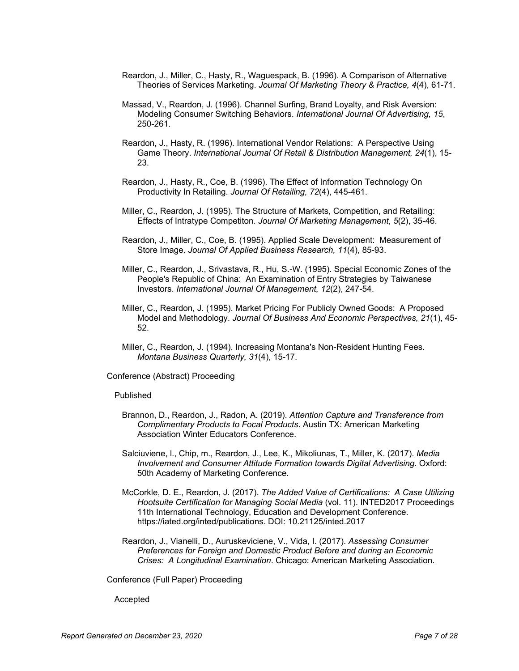- Reardon, J., Miller, C., Hasty, R., Waguespack, B. (1996). A Comparison of Alternative Theories of Services Marketing. *Journal Of Marketing Theory & Practice, 4*(4), 61-71.
- Massad, V., Reardon, J. (1996). Channel Surfing, Brand Loyalty, and Risk Aversion: Modeling Consumer Switching Behaviors. *International Journal Of Advertising, 15*, 250-261.
- Reardon, J., Hasty, R. (1996). International Vendor Relations: A Perspective Using Game Theory. *International Journal Of Retail & Distribution Management, 24*(1), 15- 23.
- Reardon, J., Hasty, R., Coe, B. (1996). The Effect of Information Technology On Productivity In Retailing. *Journal Of Retailing, 72*(4), 445-461.
- Miller, C., Reardon, J. (1995). The Structure of Markets, Competition, and Retailing: Effects of Intratype Competiton. *Journal Of Marketing Management, 5*(2), 35-46.
- Reardon, J., Miller, C., Coe, B. (1995). Applied Scale Development: Measurement of Store Image. *Journal Of Applied Business Research, 11*(4), 85-93.
- Miller, C., Reardon, J., Srivastava, R., Hu, S.-W. (1995). Special Economic Zones of the People's Republic of China: An Examination of Entry Strategies by Taiwanese Investors. *International Journal Of Management, 12*(2), 247-54.
- Miller, C., Reardon, J. (1995). Market Pricing For Publicly Owned Goods: A Proposed Model and Methodology. *Journal Of Business And Economic Perspectives, 21*(1), 45- 52.
- Miller, C., Reardon, J. (1994). Increasing Montana's Non-Resident Hunting Fees. *Montana Business Quarterly, 31*(4), 15-17.

Conference (Abstract) Proceeding

#### Published

- Brannon, D., Reardon, J., Radon, A. (2019). *Attention Capture and Transference from Complimentary Products to Focal Products*. Austin TX: American Marketing Association Winter Educators Conference.
- Salciuviene, l., Chip, m., Reardon, J., Lee, K., Mikoliunas, T., Miller, K. (2017). *Media Involvement and Consumer Attitude Formation towards Digital Advertising*. Oxford: 50th Academy of Marketing Conference.
- McCorkle, D. E., Reardon, J. (2017). *The Added Value of Certifications: A Case Utilizing Hootsuite Certification for Managing Social Media* (vol. 11). INTED2017 Proceedings 11th International Technology, Education and Development Conference. https://iated.org/inted/publications. DOI: 10.21125/inted.2017
- Reardon, J., Vianelli, D., Auruskeviciene, V., Vida, I. (2017). *Assessing Consumer Preferences for Foreign and Domestic Product Before and during an Economic Crises: A Longitudinal Examination*. Chicago: American Marketing Association.

Conference (Full Paper) Proceeding

Accepted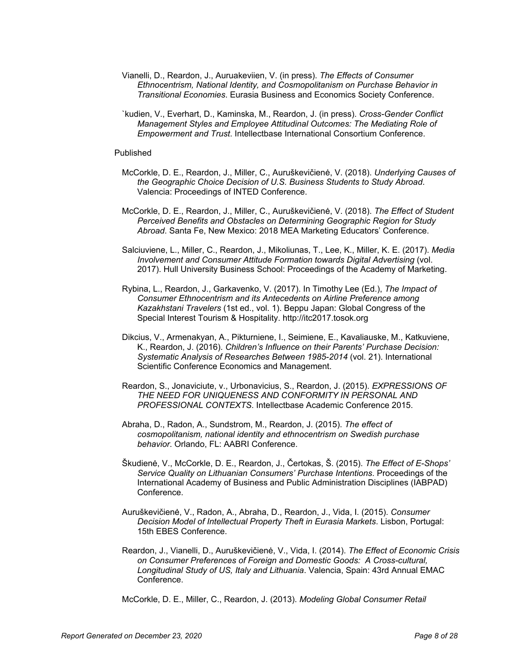- Vianelli, D., Reardon, J., Auruakeviien, V. (in press). *The Effects of Consumer Ethnocentrism, National Identity, and Cosmopolitanism on Purchase Behavior in Transitional Economies*. Eurasia Business and Economics Society Conference.
- `kudien, V., Everhart, D., Kaminska, M., Reardon, J. (in press). *Cross-Gender Conflict Management Styles and Employee Attitudinal Outcomes: The Mediating Role of Empowerment and Trust*. Intellectbase International Consortium Conference.

#### Published

- McCorkle, D. E., Reardon, J., Miller, C., Auruškevičienė, V. (2018). *Underlying Causes of the Geographic Choice Decision of U.S. Business Students to Study Abroad*. Valencia: Proceedings of INTED Conference.
- McCorkle, D. E., Reardon, J., Miller, C., Auruškevičienė, V. (2018). *The Effect of Student Perceived Benefits and Obstacles on Determining Geographic Region for Study Abroad*. Santa Fe, New Mexico: 2018 MEA Marketing Educators' Conference.
- Salciuviene, L., Miller, C., Reardon, J., Mikoliunas, T., Lee, K., Miller, K. E. (2017). *Media Involvement and Consumer Attitude Formation towards Digital Advertising* (vol. 2017). Hull University Business School: Proceedings of the Academy of Marketing.
- Rybina, L., Reardon, J., Garkavenko, V. (2017). In Timothy Lee (Ed.), *The Impact of Consumer Ethnocentrism and its Antecedents on Airline Preference among Kazakhstani Travelers* (1st ed., vol. 1). Beppu Japan: Global Congress of the Special Interest Tourism & Hospitality. http://itc2017.tosok.org
- Dikcius, V., Armenakyan, A., Pikturniene, I., Seimiene, E., Kavaliauske, M., Katkuviene, K., Reardon, J. (2016). *Children's Influence on their Parents' Purchase Decision: Systematic Analysis of Researches Between 1985-2014* (vol. 21). International Scientific Conference Economics and Management.
- Reardon, S., Jonaviciute, v., Urbonavicius, S., Reardon, J. (2015). *EXPRESSIONS OF THE NEED FOR UNIQUENESS AND CONFORMITY IN PERSONAL AND PROFESSIONAL CONTEXTS*. Intellectbase Academic Conference 2015.
- Abraha, D., Radon, A., Sundstrom, M., Reardon, J. (2015). *The effect of cosmopolitanism, national identity and ethnocentrism on Swedish purchase behavior*. Orlando, FL: AABRI Conference.
- Škudienė, V., McCorkle, D. E., Reardon, J., Čertokas, Š. (2015). *The Effect of E-Shops' Service Quality on Lithuanian Consumers' Purchase Intentions*. Proceedings of the International Academy of Business and Public Administration Disciplines (IABPAD) Conference.
- Auruškevičienė, V., Radon, A., Abraha, D., Reardon, J., Vida, I. (2015). *Consumer Decision Model of Intellectual Property Theft in Eurasia Markets*. Lisbon, Portugal: 15th EBES Conference.
- Reardon, J., Vianelli, D., Auruškevičienė, V., Vida, I. (2014). *The Effect of Economic Crisis on Consumer Preferences of Foreign and Domestic Goods: A Cross-cultural, Longitudinal Study of US, Italy and Lithuania*. Valencia, Spain: 43rd Annual EMAC Conference.

McCorkle, D. E., Miller, C., Reardon, J. (2013). *Modeling Global Consumer Retail*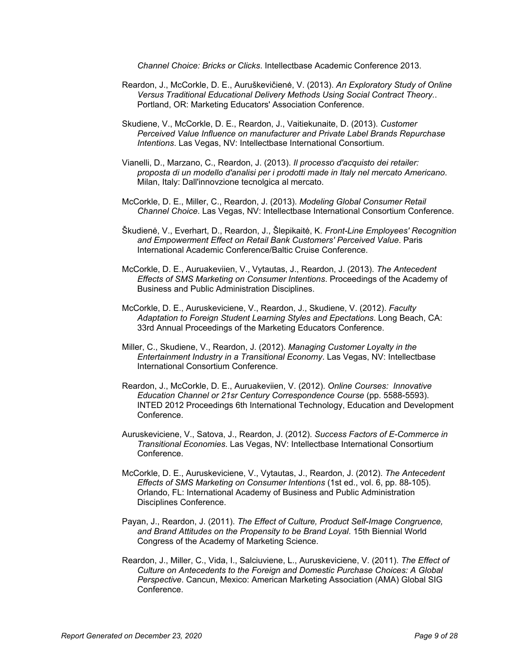*Channel Choice: Bricks or Clicks*. Intellectbase Academic Conference 2013.

- Reardon, J., McCorkle, D. E., Auruškevičienė, V. (2013). *An Exploratory Study of Online Versus Traditional Educational Delivery Methods Using Social Contract Theory.*. Portland, OR: Marketing Educators' Association Conference.
- Skudiene, V., McCorkle, D. E., Reardon, J., Vaitiekunaite, D. (2013). *Customer Perceived Value Influence on manufacturer and Private Label Brands Repurchase Intentions*. Las Vegas, NV: Intellectbase International Consortium.
- Vianelli, D., Marzano, C., Reardon, J. (2013). *Il processo d'acquisto dei retailer: proposta di un modello d'analisi per i prodotti made in Italy nel mercato Americano*. Milan, Italy: Dall'innovzione tecnolgica al mercato.
- McCorkle, D. E., Miller, C., Reardon, J. (2013). *Modeling Global Consumer Retail Channel Choice*. Las Vegas, NV: Intellectbase International Consortium Conference.
- Škudienė, V., Everhart, D., Reardon, J., Šlepikaitė, K. *Front-Line Employees' Recognition and Empowerment Effect on Retail Bank Customers' Perceived Value*. Paris International Academic Conference/Baltic Cruise Conference.
- McCorkle, D. E., Auruakeviien, V., Vytautas, J., Reardon, J. (2013). *The Antecedent Effects of SMS Marketing on Consumer Intentions*. Proceedings of the Academy of Business and Public Administration Disciplines.
- McCorkle, D. E., Auruskeviciene, V., Reardon, J., Skudiene, V. (2012). *Faculty Adaptation to Foreign Student Learning Styles and Epectations*. Long Beach, CA: 33rd Annual Proceedings of the Marketing Educators Conference.
- Miller, C., Skudiene, V., Reardon, J. (2012). *Managing Customer Loyalty in the Entertainment Industry in a Transitional Economy*. Las Vegas, NV: Intellectbase International Consortium Conference.
- Reardon, J., McCorkle, D. E., Auruakeviien, V. (2012). *Online Courses: Innovative Education Channel or 21sr Century Correspondence Course* (pp. 5588-5593). INTED 2012 Proceedings 6th International Technology, Education and Development Conference.
- Auruskeviciene, V., Satova, J., Reardon, J. (2012). *Success Factors of E-Commerce in Transitional Economies*. Las Vegas, NV: Intellectbase International Consortium Conference.
- McCorkle, D. E., Auruskeviciene, V., Vytautas, J., Reardon, J. (2012). *The Antecedent Effects of SMS Marketing on Consumer Intentions* (1st ed., vol. 6, pp. 88-105). Orlando, FL: International Academy of Business and Public Administration Disciplines Conference.
- Payan, J., Reardon, J. (2011). *The Effect of Culture, Product Self-Image Congruence, and Brand Attitudes on the Propensity to be Brand Loyal*. 15th Biennial World Congress of the Academy of Marketing Science.
- Reardon, J., Miller, C., Vida, I., Salciuviene, L., Auruskeviciene, V. (2011). *The Effect of Culture on Antecedents to the Foreign and Domestic Purchase Choices: A Global Perspective*. Cancun, Mexico: American Marketing Association (AMA) Global SIG **Conference**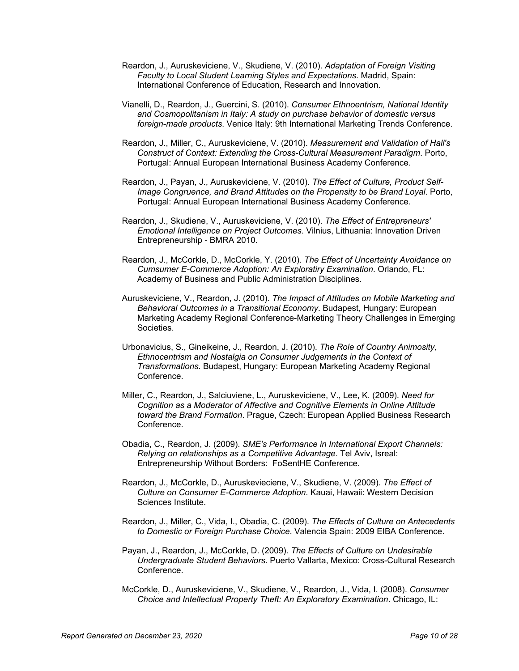- Reardon, J., Auruskeviciene, V., Skudiene, V. (2010). *Adaptation of Foreign Visiting Faculty to Local Student Learning Styles and Expectations*. Madrid, Spain: International Conference of Education, Research and Innovation.
- Vianelli, D., Reardon, J., Guercini, S. (2010). *Consumer Ethnoentrism, National Identity and Cosmopolitanism in Italy: A study on purchase behavior of domestic versus foreign-made products*. Venice Italy: 9th International Marketing Trends Conference.
- Reardon, J., Miller, C., Auruskeviciene, V. (2010). *Measurement and Validation of Hall's Construct of Context: Extending the Cross-Cultural Measurement Paradigm*. Porto, Portugal: Annual European International Business Academy Conference.
- Reardon, J., Payan, J., Auruskeviciene, V. (2010). *The Effect of Culture, Product Self-Image Congruence, and Brand Attitudes on the Propensity to be Brand Loyal*. Porto, Portugal: Annual European International Business Academy Conference.
- Reardon, J., Skudiene, V., Auruskeviciene, V. (2010). *The Effect of Entrepreneurs' Emotional Intelligence on Project Outcomes*. Vilnius, Lithuania: Innovation Driven Entrepreneurship - BMRA 2010.
- Reardon, J., McCorkle, D., McCorkle, Y. (2010). *The Effect of Uncertainty Avoidance on Cumsumer E-Commerce Adoption: An Exploratiry Examination*. Orlando, FL: Academy of Business and Public Administration Disciplines.
- Auruskeviciene, V., Reardon, J. (2010). *The Impact of Attitudes on Mobile Marketing and Behavioral Outcomes in a Transitional Economy*. Budapest, Hungary: European Marketing Academy Regional Conference-Marketing Theory Challenges in Emerging Societies.
- Urbonavicius, S., Gineikeine, J., Reardon, J. (2010). *The Role of Country Animosity, Ethnocentrism and Nostalgia on Consumer Judgements in the Context of Transformations*. Budapest, Hungary: European Marketing Academy Regional Conference.
- Miller, C., Reardon, J., Salciuviene, L., Auruskeviciene, V., Lee, K. (2009). *Need for Cognition as a Moderator of Affective and Cognitive Elements in Online Attitude toward the Brand Formation*. Prague, Czech: European Applied Business Research Conference.
- Obadia, C., Reardon, J. (2009). *SME's Performance in International Export Channels: Relying on relationships as a Competitive Advantage*. Tel Aviv, Isreal: Entrepreneurship Without Borders: FoSentHE Conference.
- Reardon, J., McCorkle, D., Auruskevieciene, V., Skudiene, V. (2009). *The Effect of Culture on Consumer E-Commerce Adoption*. Kauai, Hawaii: Western Decision Sciences Institute.
- Reardon, J., Miller, C., Vida, I., Obadia, C. (2009). *The Effects of Culture on Antecedents to Domestic or Foreign Purchase Choice*. Valencia Spain: 2009 EIBA Conference.
- Payan, J., Reardon, J., McCorkle, D. (2009). *The Effects of Culture on Undesirable Undergraduate Student Behaviors*. Puerto Vallarta, Mexico: Cross-Cultural Research Conference.
- McCorkle, D., Auruskeviciene, V., Skudiene, V., Reardon, J., Vida, I. (2008). *Consumer Choice and Intellectual Property Theft: An Exploratory Examination*. Chicago, IL: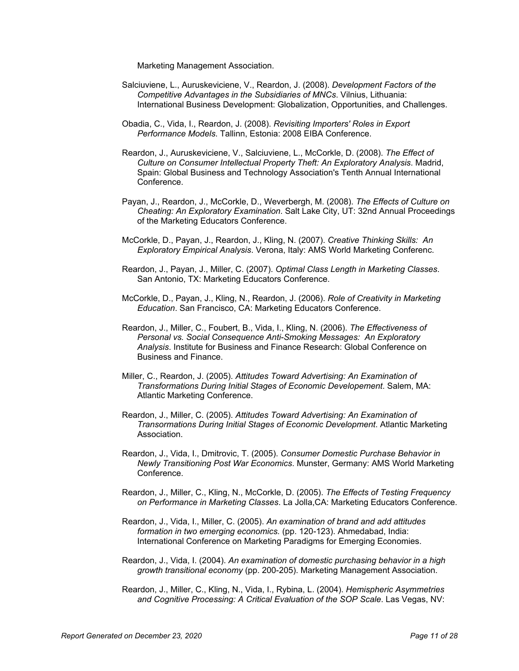Marketing Management Association.

- Salciuviene, L., Auruskeviciene, V., Reardon, J. (2008). *Development Factors of the Competitive Advantages in the Subsidiaries of MNCs*. Vilnius, Lithuania: International Business Development: Globalization, Opportunities, and Challenges.
- Obadia, C., Vida, I., Reardon, J. (2008). *Revisiting Importers' Roles in Export Performance Models*. Tallinn, Estonia: 2008 EIBA Conference.
- Reardon, J., Auruskeviciene, V., Salciuviene, L., McCorkle, D. (2008). *The Effect of Culture on Consumer Intellectual Property Theft: An Exploratory Analysis*. Madrid, Spain: Global Business and Technology Association's Tenth Annual International Conference.
- Payan, J., Reardon, J., McCorkle, D., Weverbergh, M. (2008). *The Effects of Culture on Cheating: An Exploratory Examination*. Salt Lake City, UT: 32nd Annual Proceedings of the Marketing Educators Conference.
- McCorkle, D., Payan, J., Reardon, J., Kling, N. (2007). *Creative Thinking Skills: An Exploratory Empirical Analysis*. Verona, Italy: AMS World Marketing Conferenc.
- Reardon, J., Payan, J., Miller, C. (2007). *Optimal Class Length in Marketing Classes*. San Antonio, TX: Marketing Educators Conference.
- McCorkle, D., Payan, J., Kling, N., Reardon, J. (2006). *Role of Creativity in Marketing Education*. San Francisco, CA: Marketing Educators Conference.
- Reardon, J., Miller, C., Foubert, B., Vida, I., Kling, N. (2006). *The Effectiveness of Personal vs. Social Consequence Anti-Smoking Messages: An Exploratory Analysis*. Institute for Business and Finance Research: Global Conference on Business and Finance.
- Miller, C., Reardon, J. (2005). *Attitudes Toward Advertising: An Examination of Transformations During Initial Stages of Economic Developement*. Salem, MA: Atlantic Marketing Conference.
- Reardon, J., Miller, C. (2005). *Attitudes Toward Advertising: An Examination of Transormations During Initial Stages of Economic Development*. Atlantic Marketing Association.
- Reardon, J., Vida, I., Dmitrovic, T. (2005). *Consumer Domestic Purchase Behavior in Newly Transitioning Post War Economics*. Munster, Germany: AMS World Marketing Conference.
- Reardon, J., Miller, C., Kling, N., McCorkle, D. (2005). *The Effects of Testing Frequency on Performance in Marketing Classes*. La Jolla,CA: Marketing Educators Conference.
- Reardon, J., Vida, I., Miller, C. (2005). *An examination of brand and add attitudes formation in two emerging economics.* (pp. 120-123). Ahmedabad, India: International Conference on Marketing Paradigms for Emerging Economies.
- Reardon, J., Vida, I. (2004). *An examination of domestic purchasing behavior in a high growth transitional economy* (pp. 200-205). Marketing Management Association.
- Reardon, J., Miller, C., Kling, N., Vida, I., Rybina, L. (2004). *Hemispheric Asymmetries and Cognitive Processing: A Critical Evaluation of the SOP Scale*. Las Vegas, NV: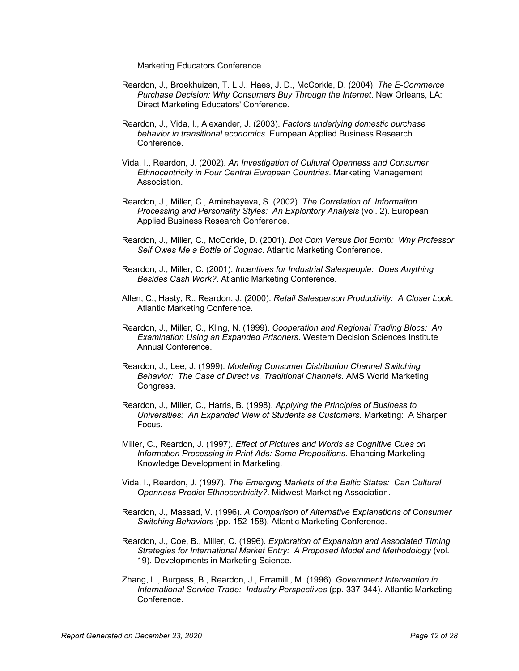Marketing Educators Conference.

- Reardon, J., Broekhuizen, T. L.J., Haes, J. D., McCorkle, D. (2004). *The E-Commerce Purchase Decision: Why Consumers Buy Through the Internet*. New Orleans, LA: Direct Marketing Educators' Conference.
- Reardon, J., Vida, I., Alexander, J. (2003). *Factors underlying domestic purchase behavior in transitional economics*. European Applied Business Research Conference.
- Vida, I., Reardon, J. (2002). *An Investigation of Cultural Openness and Consumer Ethnocentricity in Four Central European Countries*. Marketing Management Association.
- Reardon, J., Miller, C., Amirebayeva, S. (2002). *The Correlation of Informaiton Processing and Personality Styles: An Exploritory Analysis* (vol. 2). European Applied Business Research Conference.
- Reardon, J., Miller, C., McCorkle, D. (2001). *Dot Com Versus Dot Bomb: Why Professor Self Owes Me a Bottle of Cognac*. Atlantic Marketing Conference.
- Reardon, J., Miller, C. (2001). *Incentives for Industrial Salespeople: Does Anything Besides Cash Work?*. Atlantic Marketing Conference.
- Allen, C., Hasty, R., Reardon, J. (2000). *Retail Salesperson Productivity: A Closer Look*. Atlantic Marketing Conference.
- Reardon, J., Miller, C., Kling, N. (1999). *Cooperation and Regional Trading Blocs: An Examination Using an Expanded Prisoners*. Western Decision Sciences Institute Annual Conference.
- Reardon, J., Lee, J. (1999). *Modeling Consumer Distribution Channel Switching Behavior: The Case of Direct vs. Traditional Channels*. AMS World Marketing Congress.
- Reardon, J., Miller, C., Harris, B. (1998). *Applying the Principles of Business to Universities: An Expanded View of Students as Customers*. Marketing: A Sharper Focus.
- Miller, C., Reardon, J. (1997). *Effect of Pictures and Words as Cognitive Cues on Information Processing in Print Ads: Some Propositions*. Ehancing Marketing Knowledge Development in Marketing.
- Vida, I., Reardon, J. (1997). *The Emerging Markets of the Baltic States: Can Cultural Openness Predict Ethnocentricity?*. Midwest Marketing Association.
- Reardon, J., Massad, V. (1996). *A Comparison of Alternative Explanations of Consumer Switching Behaviors* (pp. 152-158). Atlantic Marketing Conference.
- Reardon, J., Coe, B., Miller, C. (1996). *Exploration of Expansion and Associated Timing Strategies for International Market Entry: A Proposed Model and Methodology* (vol. 19). Developments in Marketing Science.
- Zhang, L., Burgess, B., Reardon, J., Erramilli, M. (1996). *Government Intervention in International Service Trade: Industry Perspectives* (pp. 337-344). Atlantic Marketing Conference.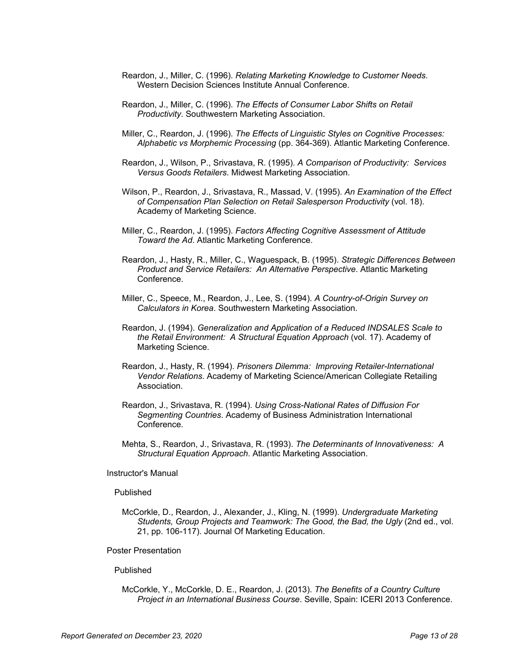- Reardon, J., Miller, C. (1996). *Relating Marketing Knowledge to Customer Needs*. Western Decision Sciences Institute Annual Conference.
- Reardon, J., Miller, C. (1996). *The Effects of Consumer Labor Shifts on Retail Productivity*. Southwestern Marketing Association.
- Miller, C., Reardon, J. (1996). *The Effects of Linguistic Styles on Cognitive Processes: Alphabetic vs Morphemic Processing* (pp. 364-369). Atlantic Marketing Conference.
- Reardon, J., Wilson, P., Srivastava, R. (1995). *A Comparison of Productivity: Services Versus Goods Retailers*. Midwest Marketing Association.
- Wilson, P., Reardon, J., Srivastava, R., Massad, V. (1995). *An Examination of the Effect of Compensation Plan Selection on Retail Salesperson Productivity* (vol. 18). Academy of Marketing Science.
- Miller, C., Reardon, J. (1995). *Factors Affecting Cognitive Assessment of Attitude Toward the Ad*. Atlantic Marketing Conference.
- Reardon, J., Hasty, R., Miller, C., Waguespack, B. (1995). *Strategic Differences Between Product and Service Retailers: An Alternative Perspective*. Atlantic Marketing Conference.
- Miller, C., Speece, M., Reardon, J., Lee, S. (1994). *A Country-of-Origin Survey on Calculators in Korea*. Southwestern Marketing Association.
- Reardon, J. (1994). *Generalization and Application of a Reduced INDSALES Scale to the Retail Environment: A Structural Equation Approach* (vol. 17). Academy of Marketing Science.
- Reardon, J., Hasty, R. (1994). *Prisoners Dilemma: Improving Retailer-International Vendor Relations*. Academy of Marketing Science/American Collegiate Retailing Association.
- Reardon, J., Srivastava, R. (1994). *Using Cross-National Rates of Diffusion For Segmenting Countries*. Academy of Business Administration International Conference.
- Mehta, S., Reardon, J., Srivastava, R. (1993). *The Determinants of Innovativeness: A Structural Equation Approach*. Atlantic Marketing Association.

### Instructor's Manual

#### Published

McCorkle, D., Reardon, J., Alexander, J., Kling, N. (1999). *Undergraduate Marketing Students, Group Projects and Teamwork: The Good, the Bad, the Ugly* (2nd ed., vol. 21, pp. 106-117). Journal Of Marketing Education.

### Poster Presentation

#### Published

McCorkle, Y., McCorkle, D. E., Reardon, J. (2013). *The Benefits of a Country Culture Project in an International Business Course*. Seville, Spain: ICERI 2013 Conference.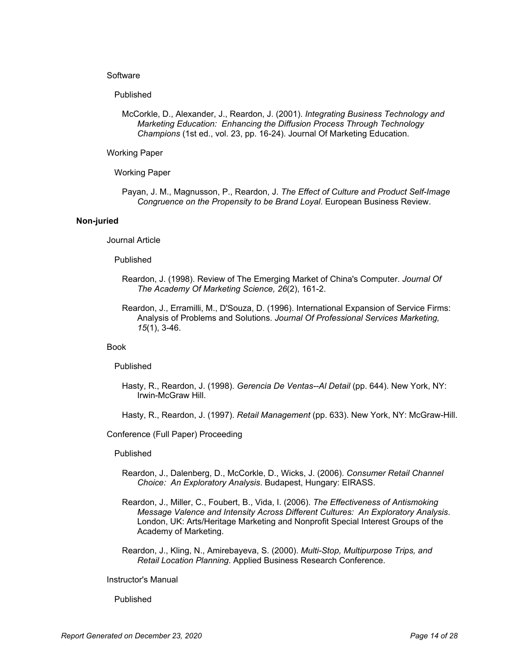### **Software**

### Published

McCorkle, D., Alexander, J., Reardon, J. (2001). *Integrating Business Technology and Marketing Education: Enhancing the Diffusion Process Through Technology Champions* (1st ed., vol. 23, pp. 16-24). Journal Of Marketing Education.

### Working Paper

Working Paper

Payan, J. M., Magnusson, P., Reardon, J. *The Effect of Culture and Product Self-Image Congruence on the Propensity to be Brand Loyal*. European Business Review.

### **Non-juried**

Journal Article

### Published

- Reardon, J. (1998). Review of The Emerging Market of China's Computer. *Journal Of The Academy Of Marketing Science, 26*(2), 161-2.
- Reardon, J., Erramilli, M., D'Souza, D. (1996). International Expansion of Service Firms: Analysis of Problems and Solutions. *Journal Of Professional Services Marketing, 15*(1), 3-46.

### Book

Published

Hasty, R., Reardon, J. (1998). *Gerencia De Ventas--Al Detail* (pp. 644). New York, NY: Irwin-McGraw Hill.

Hasty, R., Reardon, J. (1997). *Retail Management* (pp. 633). New York, NY: McGraw-Hill.

#### Conference (Full Paper) Proceeding

#### Published

- Reardon, J., Dalenberg, D., McCorkle, D., Wicks, J. (2006). *Consumer Retail Channel Choice: An Exploratory Analysis*. Budapest, Hungary: EIRASS.
- Reardon, J., Miller, C., Foubert, B., Vida, I. (2006). *The Effectiveness of Antismoking Message Valence and Intensity Across Different Cultures: An Exploratory Analysis*. London, UK: Arts/Heritage Marketing and Nonprofit Special Interest Groups of the Academy of Marketing.
- Reardon, J., Kling, N., Amirebayeva, S. (2000). *Multi-Stop, Multipurpose Trips, and Retail Location Planning*. Applied Business Research Conference.

### Instructor's Manual

#### Published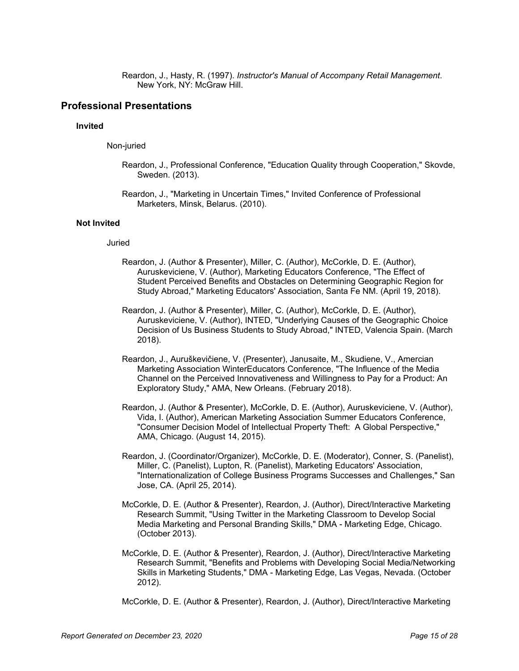Reardon, J., Hasty, R. (1997). *Instructor's Manual of Accompany Retail Management*. New York, NY: McGraw Hill.

### **Professional Presentations**

### **Invited**

Non-juried

- Reardon, J., Professional Conference, "Education Quality through Cooperation," Skovde, Sweden. (2013).
- Reardon, J., "Marketing in Uncertain Times," Invited Conference of Professional Marketers, Minsk, Belarus. (2010).

### **Not Invited**

### Juried

- Reardon, J. (Author & Presenter), Miller, C. (Author), McCorkle, D. E. (Author), Auruskeviciene, V. (Author), Marketing Educators Conference, "The Effect of Student Perceived Benefits and Obstacles on Determining Geographic Region for Study Abroad," Marketing Educators' Association, Santa Fe NM. (April 19, 2018).
- Reardon, J. (Author & Presenter), Miller, C. (Author), McCorkle, D. E. (Author), Auruskeviciene, V. (Author), INTED, "Underlying Causes of the Geographic Choice Decision of Us Business Students to Study Abroad," INTED, Valencia Spain. (March 2018).
- Reardon, J., Auruškevičiene, V. (Presenter), Janusaite, M., Skudiene, V., Amercian Marketing Association WinterEducators Conference, "The Influence of the Media Channel on the Perceived Innovativeness and Willingness to Pay for a Product: An Exploratory Study," AMA, New Orleans. (February 2018).
- Reardon, J. (Author & Presenter), McCorkle, D. E. (Author), Auruskeviciene, V. (Author), Vida, I. (Author), American Marketing Association Summer Educators Conference, "Consumer Decision Model of Intellectual Property Theft: A Global Perspective," AMA, Chicago. (August 14, 2015).
- Reardon, J. (Coordinator/Organizer), McCorkle, D. E. (Moderator), Conner, S. (Panelist), Miller, C. (Panelist), Lupton, R. (Panelist), Marketing Educators' Association, "Internationalization of College Business Programs Successes and Challenges," San Jose, CA. (April 25, 2014).
- McCorkle, D. E. (Author & Presenter), Reardon, J. (Author), Direct/Interactive Marketing Research Summit, "Using Twitter in the Marketing Classroom to Develop Social Media Marketing and Personal Branding Skills," DMA - Marketing Edge, Chicago. (October 2013).
- McCorkle, D. E. (Author & Presenter), Reardon, J. (Author), Direct/Interactive Marketing Research Summit, "Benefits and Problems with Developing Social Media/Networking Skills in Marketing Students," DMA - Marketing Edge, Las Vegas, Nevada. (October 2012).

McCorkle, D. E. (Author & Presenter), Reardon, J. (Author), Direct/Interactive Marketing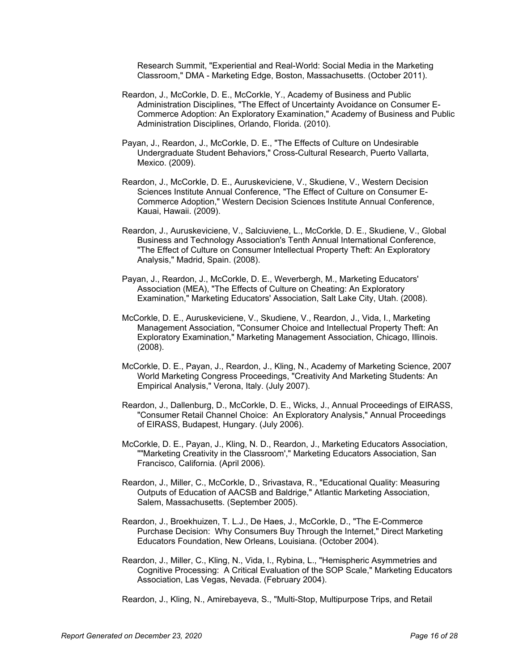Research Summit, "Experiential and Real-World: Social Media in the Marketing Classroom," DMA - Marketing Edge, Boston, Massachusetts. (October 2011).

- Reardon, J., McCorkle, D. E., McCorkle, Y., Academy of Business and Public Administration Disciplines, "The Effect of Uncertainty Avoidance on Consumer E-Commerce Adoption: An Exploratory Examination," Academy of Business and Public Administration Disciplines, Orlando, Florida. (2010).
- Payan, J., Reardon, J., McCorkle, D. E., "The Effects of Culture on Undesirable Undergraduate Student Behaviors," Cross-Cultural Research, Puerto Vallarta, Mexico. (2009).
- Reardon, J., McCorkle, D. E., Auruskeviciene, V., Skudiene, V., Western Decision Sciences Institute Annual Conference, "The Effect of Culture on Consumer E-Commerce Adoption," Western Decision Sciences Institute Annual Conference, Kauai, Hawaii. (2009).
- Reardon, J., Auruskeviciene, V., Salciuviene, L., McCorkle, D. E., Skudiene, V., Global Business and Technology Association's Tenth Annual International Conference, "The Effect of Culture on Consumer Intellectual Property Theft: An Exploratory Analysis," Madrid, Spain. (2008).
- Payan, J., Reardon, J., McCorkle, D. E., Weverbergh, M., Marketing Educators' Association (MEA), "The Effects of Culture on Cheating: An Exploratory Examination," Marketing Educators' Association, Salt Lake City, Utah. (2008).
- McCorkle, D. E., Auruskeviciene, V., Skudiene, V., Reardon, J., Vida, I., Marketing Management Association, "Consumer Choice and Intellectual Property Theft: An Exploratory Examination," Marketing Management Association, Chicago, Illinois. (2008).
- McCorkle, D. E., Payan, J., Reardon, J., Kling, N., Academy of Marketing Science, 2007 World Marketing Congress Proceedings, "Creativity And Marketing Students: An Empirical Analysis," Verona, Italy. (July 2007).
- Reardon, J., Dallenburg, D., McCorkle, D. E., Wicks, J., Annual Proceedings of EIRASS, "Consumer Retail Channel Choice: An Exploratory Analysis," Annual Proceedings of EIRASS, Budapest, Hungary. (July 2006).
- McCorkle, D. E., Payan, J., Kling, N. D., Reardon, J., Marketing Educators Association, ""Marketing Creativity in the Classroom'," Marketing Educators Association, San Francisco, California. (April 2006).
- Reardon, J., Miller, C., McCorkle, D., Srivastava, R., "Educational Quality: Measuring Outputs of Education of AACSB and Baldrige," Atlantic Marketing Association, Salem, Massachusetts. (September 2005).
- Reardon, J., Broekhuizen, T. L.J., De Haes, J., McCorkle, D., "The E-Commerce Purchase Decision: Why Consumers Buy Through the Internet," Direct Marketing Educators Foundation, New Orleans, Louisiana. (October 2004).
- Reardon, J., Miller, C., Kling, N., Vida, I., Rybina, L., "Hemispheric Asymmetries and Cognitive Processing: A Critical Evaluation of the SOP Scale," Marketing Educators Association, Las Vegas, Nevada. (February 2004).

Reardon, J., Kling, N., Amirebayeva, S., "Multi-Stop, Multipurpose Trips, and Retail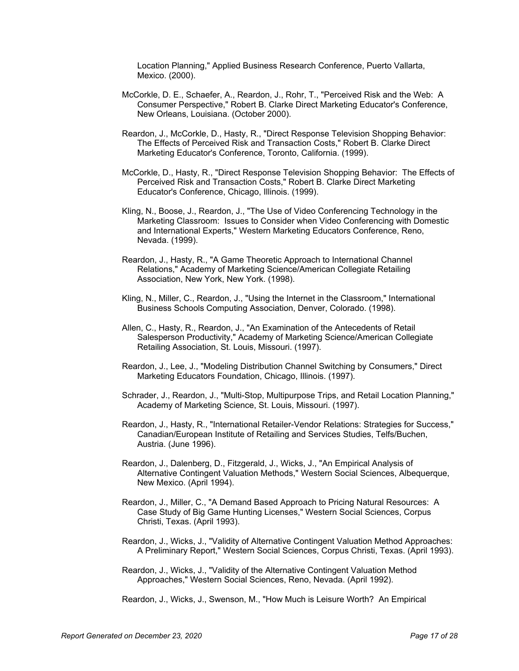Location Planning," Applied Business Research Conference, Puerto Vallarta, Mexico. (2000).

- McCorkle, D. E., Schaefer, A., Reardon, J., Rohr, T., "Perceived Risk and the Web: A Consumer Perspective," Robert B. Clarke Direct Marketing Educator's Conference, New Orleans, Louisiana. (October 2000).
- Reardon, J., McCorkle, D., Hasty, R., "Direct Response Television Shopping Behavior: The Effects of Perceived Risk and Transaction Costs," Robert B. Clarke Direct Marketing Educator's Conference, Toronto, California. (1999).
- McCorkle, D., Hasty, R., "Direct Response Television Shopping Behavior: The Effects of Perceived Risk and Transaction Costs," Robert B. Clarke Direct Marketing Educator's Conference, Chicago, Illinois. (1999).
- Kling, N., Boose, J., Reardon, J., "The Use of Video Conferencing Technology in the Marketing Classroom: Issues to Consider when Video Conferencing with Domestic and International Experts," Western Marketing Educators Conference, Reno, Nevada. (1999).
- Reardon, J., Hasty, R., "A Game Theoretic Approach to International Channel Relations," Academy of Marketing Science/American Collegiate Retailing Association, New York, New York. (1998).
- Kling, N., Miller, C., Reardon, J., "Using the Internet in the Classroom," International Business Schools Computing Association, Denver, Colorado. (1998).
- Allen, C., Hasty, R., Reardon, J., "An Examination of the Antecedents of Retail Salesperson Productivity," Academy of Marketing Science/American Collegiate Retailing Association, St. Louis, Missouri. (1997).
- Reardon, J., Lee, J., "Modeling Distribution Channel Switching by Consumers," Direct Marketing Educators Foundation, Chicago, Illinois. (1997).
- Schrader, J., Reardon, J., "Multi-Stop, Multipurpose Trips, and Retail Location Planning," Academy of Marketing Science, St. Louis, Missouri. (1997).
- Reardon, J., Hasty, R., "International Retailer-Vendor Relations: Strategies for Success," Canadian/European Institute of Retailing and Services Studies, Telfs/Buchen, Austria. (June 1996).
- Reardon, J., Dalenberg, D., Fitzgerald, J., Wicks, J., "An Empirical Analysis of Alternative Contingent Valuation Methods," Western Social Sciences, Albequerque, New Mexico. (April 1994).
- Reardon, J., Miller, C., "A Demand Based Approach to Pricing Natural Resources: A Case Study of Big Game Hunting Licenses," Western Social Sciences, Corpus Christi, Texas. (April 1993).
- Reardon, J., Wicks, J., "Validity of Alternative Contingent Valuation Method Approaches: A Preliminary Report," Western Social Sciences, Corpus Christi, Texas. (April 1993).
- Reardon, J., Wicks, J., "Validity of the Alternative Contingent Valuation Method Approaches," Western Social Sciences, Reno, Nevada. (April 1992).

Reardon, J., Wicks, J., Swenson, M., "How Much is Leisure Worth? An Empirical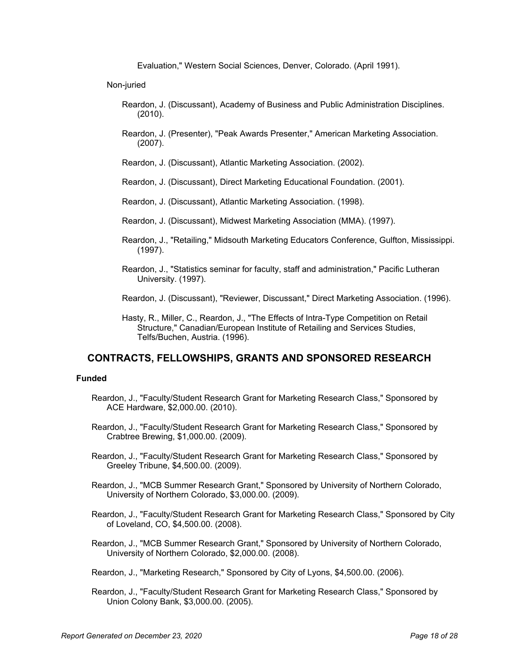Evaluation," Western Social Sciences, Denver, Colorado. (April 1991).

Non-juried

- Reardon, J. (Discussant), Academy of Business and Public Administration Disciplines. (2010).
- Reardon, J. (Presenter), "Peak Awards Presenter," American Marketing Association. (2007).
- Reardon, J. (Discussant), Atlantic Marketing Association. (2002).

Reardon, J. (Discussant), Direct Marketing Educational Foundation. (2001).

- Reardon, J. (Discussant), Atlantic Marketing Association. (1998).
- Reardon, J. (Discussant), Midwest Marketing Association (MMA). (1997).
- Reardon, J., "Retailing," Midsouth Marketing Educators Conference, Gulfton, Mississippi. (1997).
- Reardon, J., "Statistics seminar for faculty, staff and administration," Pacific Lutheran University. (1997).
- Reardon, J. (Discussant), "Reviewer, Discussant," Direct Marketing Association. (1996).
- Hasty, R., Miller, C., Reardon, J., "The Effects of Intra-Type Competition on Retail Structure," Canadian/European Institute of Retailing and Services Studies, Telfs/Buchen, Austria. (1996).

# **CONTRACTS, FELLOWSHIPS, GRANTS AND SPONSORED RESEARCH**

### **Funded**

- Reardon, J., "Faculty/Student Research Grant for Marketing Research Class," Sponsored by ACE Hardware, \$2,000.00. (2010).
- Reardon, J., "Faculty/Student Research Grant for Marketing Research Class," Sponsored by Crabtree Brewing, \$1,000.00. (2009).
- Reardon, J., "Faculty/Student Research Grant for Marketing Research Class," Sponsored by Greeley Tribune, \$4,500.00. (2009).
- Reardon, J., "MCB Summer Research Grant," Sponsored by University of Northern Colorado, University of Northern Colorado, \$3,000.00. (2009).
- Reardon, J., "Faculty/Student Research Grant for Marketing Research Class," Sponsored by City of Loveland, CO, \$4,500.00. (2008).
- Reardon, J., "MCB Summer Research Grant," Sponsored by University of Northern Colorado, University of Northern Colorado, \$2,000.00. (2008).
- Reardon, J., "Marketing Research," Sponsored by City of Lyons, \$4,500.00. (2006).
- Reardon, J., "Faculty/Student Research Grant for Marketing Research Class," Sponsored by Union Colony Bank, \$3,000.00. (2005).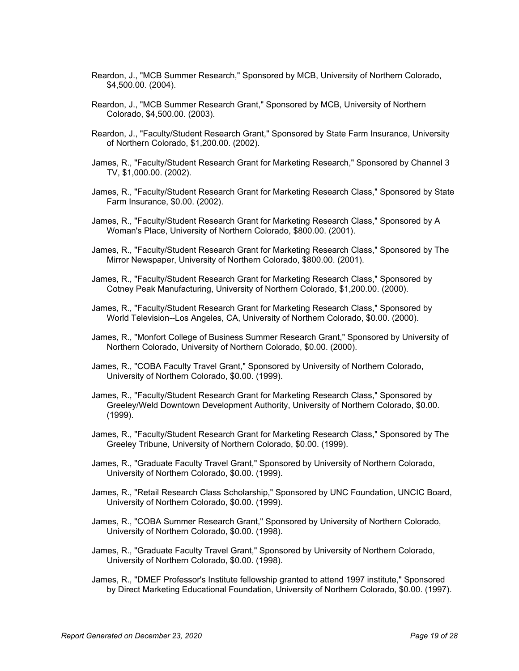- Reardon, J., "MCB Summer Research," Sponsored by MCB, University of Northern Colorado, \$4,500.00. (2004).
- Reardon, J., "MCB Summer Research Grant," Sponsored by MCB, University of Northern Colorado, \$4,500.00. (2003).
- Reardon, J., "Faculty/Student Research Grant," Sponsored by State Farm Insurance, University of Northern Colorado, \$1,200.00. (2002).
- James, R., "Faculty/Student Research Grant for Marketing Research," Sponsored by Channel 3 TV, \$1,000.00. (2002).
- James, R., "Faculty/Student Research Grant for Marketing Research Class," Sponsored by State Farm Insurance, \$0.00. (2002).
- James, R., "Faculty/Student Research Grant for Marketing Research Class," Sponsored by A Woman's Place, University of Northern Colorado, \$800.00. (2001).
- James, R., "Faculty/Student Research Grant for Marketing Research Class," Sponsored by The Mirror Newspaper, University of Northern Colorado, \$800.00. (2001).
- James, R., "Faculty/Student Research Grant for Marketing Research Class," Sponsored by Cotney Peak Manufacturing, University of Northern Colorado, \$1,200.00. (2000).
- James, R., "Faculty/Student Research Grant for Marketing Research Class," Sponsored by World Television--Los Angeles, CA, University of Northern Colorado, \$0.00. (2000).
- James, R., "Monfort College of Business Summer Research Grant," Sponsored by University of Northern Colorado, University of Northern Colorado, \$0.00. (2000).
- James, R., "COBA Faculty Travel Grant," Sponsored by University of Northern Colorado, University of Northern Colorado, \$0.00. (1999).
- James, R., "Faculty/Student Research Grant for Marketing Research Class," Sponsored by Greeley/Weld Downtown Development Authority, University of Northern Colorado, \$0.00. (1999).
- James, R., "Faculty/Student Research Grant for Marketing Research Class," Sponsored by The Greeley Tribune, University of Northern Colorado, \$0.00. (1999).
- James, R., "Graduate Faculty Travel Grant," Sponsored by University of Northern Colorado, University of Northern Colorado, \$0.00. (1999).
- James, R., "Retail Research Class Scholarship," Sponsored by UNC Foundation, UNCIC Board, University of Northern Colorado, \$0.00. (1999).
- James, R., "COBA Summer Research Grant," Sponsored by University of Northern Colorado, University of Northern Colorado, \$0.00. (1998).
- James, R., "Graduate Faculty Travel Grant," Sponsored by University of Northern Colorado, University of Northern Colorado, \$0.00. (1998).
- James, R., "DMEF Professor's Institute fellowship granted to attend 1997 institute," Sponsored by Direct Marketing Educational Foundation, University of Northern Colorado, \$0.00. (1997).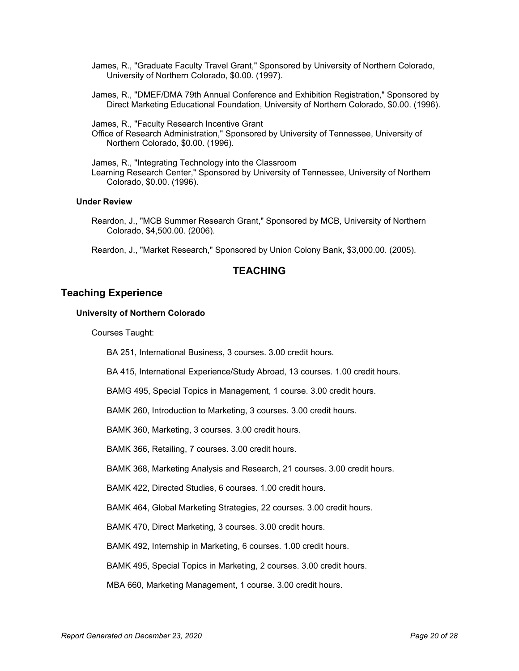- James, R., "Graduate Faculty Travel Grant," Sponsored by University of Northern Colorado, University of Northern Colorado, \$0.00. (1997).
- James, R., "DMEF/DMA 79th Annual Conference and Exhibition Registration," Sponsored by Direct Marketing Educational Foundation, University of Northern Colorado, \$0.00. (1996).

James, R., "Faculty Research Incentive Grant

Office of Research Administration," Sponsored by University of Tennessee, University of Northern Colorado, \$0.00. (1996).

James, R., "Integrating Technology into the Classroom Learning Research Center," Sponsored by University of Tennessee, University of Northern Colorado, \$0.00. (1996).

### **Under Review**

Reardon, J., "MCB Summer Research Grant," Sponsored by MCB, University of Northern Colorado, \$4,500.00. (2006).

Reardon, J., "Market Research," Sponsored by Union Colony Bank, \$3,000.00. (2005).

# **TEACHING**

### **Teaching Experience**

### **University of Northern Colorado**

Courses Taught:

BA 251, International Business, 3 courses. 3.00 credit hours.

BA 415, International Experience/Study Abroad, 13 courses. 1.00 credit hours.

BAMG 495, Special Topics in Management, 1 course. 3.00 credit hours.

BAMK 260, Introduction to Marketing, 3 courses. 3.00 credit hours.

BAMK 360, Marketing, 3 courses. 3.00 credit hours.

BAMK 366, Retailing, 7 courses. 3.00 credit hours.

BAMK 368, Marketing Analysis and Research, 21 courses. 3.00 credit hours.

BAMK 422, Directed Studies, 6 courses. 1.00 credit hours.

BAMK 464, Global Marketing Strategies, 22 courses. 3.00 credit hours.

BAMK 470, Direct Marketing, 3 courses. 3.00 credit hours.

BAMK 492, Internship in Marketing, 6 courses. 1.00 credit hours.

BAMK 495, Special Topics in Marketing, 2 courses. 3.00 credit hours.

MBA 660, Marketing Management, 1 course. 3.00 credit hours.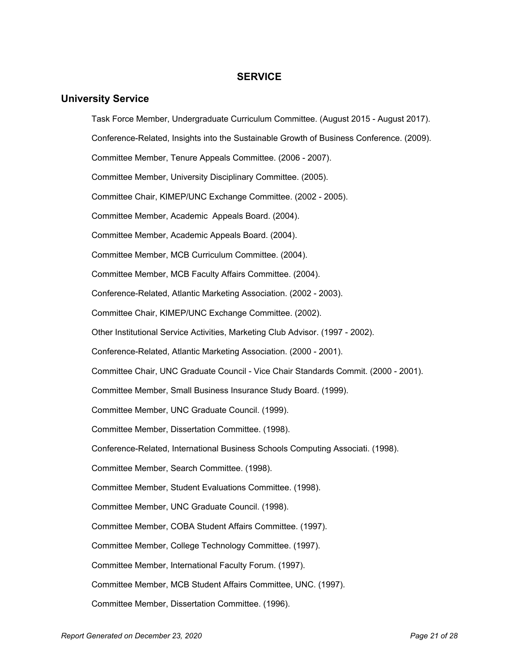# **SERVICE**

## **University Service**

Task Force Member, Undergraduate Curriculum Committee. (August 2015 - August 2017). Conference-Related, Insights into the Sustainable Growth of Business Conference. (2009). Committee Member, Tenure Appeals Committee. (2006 - 2007). Committee Member, University Disciplinary Committee. (2005). Committee Chair, KIMEP/UNC Exchange Committee. (2002 - 2005). Committee Member, Academic Appeals Board. (2004). Committee Member, Academic Appeals Board. (2004). Committee Member, MCB Curriculum Committee. (2004). Committee Member, MCB Faculty Affairs Committee. (2004). Conference-Related, Atlantic Marketing Association. (2002 - 2003). Committee Chair, KIMEP/UNC Exchange Committee. (2002). Other Institutional Service Activities, Marketing Club Advisor. (1997 - 2002). Conference-Related, Atlantic Marketing Association. (2000 - 2001). Committee Chair, UNC Graduate Council - Vice Chair Standards Commit. (2000 - 2001). Committee Member, Small Business Insurance Study Board. (1999). Committee Member, UNC Graduate Council. (1999). Committee Member, Dissertation Committee. (1998). Conference-Related, International Business Schools Computing Associati. (1998). Committee Member, Search Committee. (1998). Committee Member, Student Evaluations Committee. (1998). Committee Member, UNC Graduate Council. (1998). Committee Member, COBA Student Affairs Committee. (1997). Committee Member, College Technology Committee. (1997). Committee Member, International Faculty Forum. (1997). Committee Member, MCB Student Affairs Committee, UNC. (1997). Committee Member, Dissertation Committee. (1996).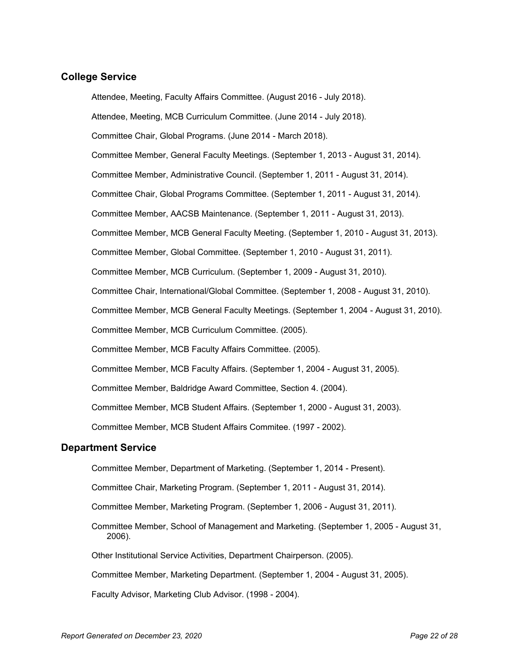# **College Service**

Attendee, Meeting, Faculty Affairs Committee. (August 2016 - July 2018). Attendee, Meeting, MCB Curriculum Committee. (June 2014 - July 2018). Committee Chair, Global Programs. (June 2014 - March 2018). Committee Member, General Faculty Meetings. (September 1, 2013 - August 31, 2014). Committee Member, Administrative Council. (September 1, 2011 - August 31, 2014). Committee Chair, Global Programs Committee. (September 1, 2011 - August 31, 2014). Committee Member, AACSB Maintenance. (September 1, 2011 - August 31, 2013). Committee Member, MCB General Faculty Meeting. (September 1, 2010 - August 31, 2013). Committee Member, Global Committee. (September 1, 2010 - August 31, 2011). Committee Member, MCB Curriculum. (September 1, 2009 - August 31, 2010). Committee Chair, International/Global Committee. (September 1, 2008 - August 31, 2010). Committee Member, MCB General Faculty Meetings. (September 1, 2004 - August 31, 2010). Committee Member, MCB Curriculum Committee. (2005). Committee Member, MCB Faculty Affairs Committee. (2005). Committee Member, MCB Faculty Affairs. (September 1, 2004 - August 31, 2005). Committee Member, Baldridge Award Committee, Section 4. (2004). Committee Member, MCB Student Affairs. (September 1, 2000 - August 31, 2003). Committee Member, MCB Student Affairs Commitee. (1997 - 2002).

### **Department Service**

Committee Member, Department of Marketing. (September 1, 2014 - Present).

Committee Chair, Marketing Program. (September 1, 2011 - August 31, 2014).

Committee Member, Marketing Program. (September 1, 2006 - August 31, 2011).

Committee Member, School of Management and Marketing. (September 1, 2005 - August 31, 2006).

Other Institutional Service Activities, Department Chairperson. (2005).

Committee Member, Marketing Department. (September 1, 2004 - August 31, 2005).

Faculty Advisor, Marketing Club Advisor. (1998 - 2004).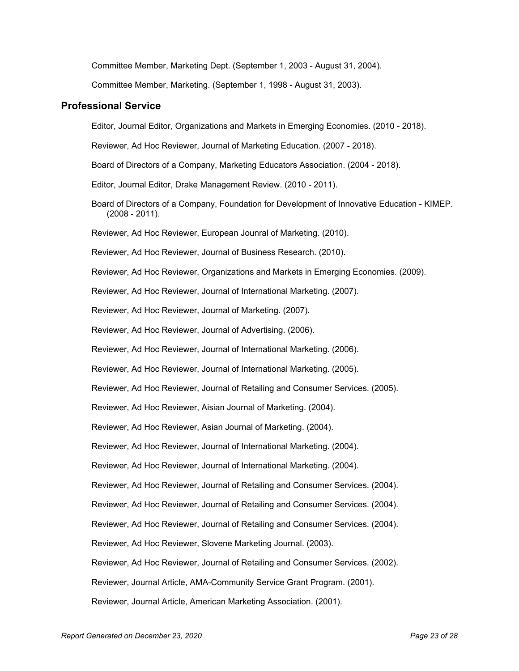Committee Member, Marketing Dept. (September 1, 2003 - August 31, 2004).

Committee Member, Marketing. (September 1, 1998 - August 31, 2003).

### **Professional Service**

Editor, Journal Editor, Organizations and Markets in Emerging Economies. (2010 - 2018).

Reviewer, Ad Hoc Reviewer, Journal of Marketing Education. (2007 - 2018).

Board of Directors of a Company, Marketing Educators Association. (2004 - 2018).

Editor, Journal Editor, Drake Management Review. (2010 - 2011).

Board of Directors of a Company, Foundation for Development of Innovative Education - KIMEP. (2008 - 2011).

Reviewer, Ad Hoc Reviewer, European Jounral of Marketing. (2010).

Reviewer, Ad Hoc Reviewer, Journal of Business Research. (2010).

Reviewer, Ad Hoc Reviewer, Organizations and Markets in Emerging Economies. (2009).

Reviewer, Ad Hoc Reviewer, Journal of International Marketing. (2007).

Reviewer, Ad Hoc Reviewer, Journal of Marketing. (2007).

Reviewer, Ad Hoc Reviewer, Journal of Advertising. (2006).

Reviewer, Ad Hoc Reviewer, Journal of International Marketing. (2006).

Reviewer, Ad Hoc Reviewer, Journal of International Marketing. (2005).

Reviewer, Ad Hoc Reviewer, Journal of Retailing and Consumer Services. (2005).

Reviewer, Ad Hoc Reviewer, Aisian Journal of Marketing. (2004).

Reviewer, Ad Hoc Reviewer, Asian Journal of Marketing. (2004).

Reviewer, Ad Hoc Reviewer, Journal of International Marketing. (2004).

Reviewer, Ad Hoc Reviewer, Journal of International Marketing. (2004).

Reviewer, Ad Hoc Reviewer, Journal of Retailing and Consumer Services. (2004).

Reviewer, Ad Hoc Reviewer, Journal of Retailing and Consumer Services. (2004).

Reviewer, Ad Hoc Reviewer, Journal of Retailing and Consumer Services. (2004).

Reviewer, Ad Hoc Reviewer, Slovene Marketing Journal. (2003).

Reviewer, Ad Hoc Reviewer, Journal of Retailing and Consumer Services. (2002).

Reviewer, Journal Article, AMA-Community Service Grant Program. (2001).

Reviewer, Journal Article, American Marketing Association. (2001).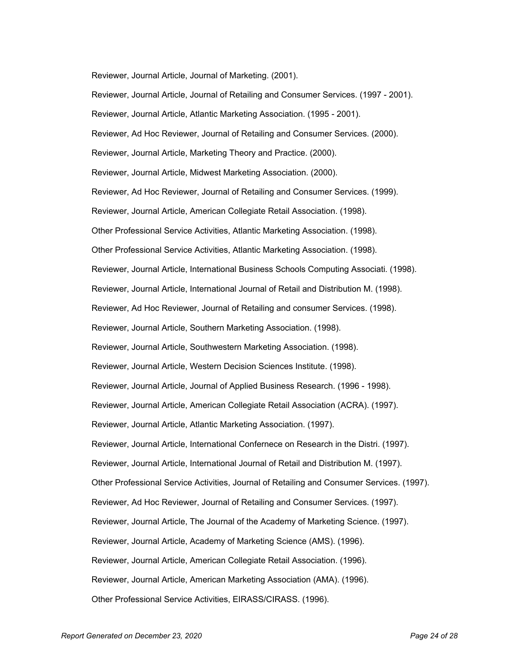Reviewer, Journal Article, Journal of Marketing. (2001).

Reviewer, Journal Article, Journal of Retailing and Consumer Services. (1997 - 2001). Reviewer, Journal Article, Atlantic Marketing Association. (1995 - 2001). Reviewer, Ad Hoc Reviewer, Journal of Retailing and Consumer Services. (2000). Reviewer, Journal Article, Marketing Theory and Practice. (2000). Reviewer, Journal Article, Midwest Marketing Association. (2000). Reviewer, Ad Hoc Reviewer, Journal of Retailing and Consumer Services. (1999). Reviewer, Journal Article, American Collegiate Retail Association. (1998). Other Professional Service Activities, Atlantic Marketing Association. (1998). Other Professional Service Activities, Atlantic Marketing Association. (1998). Reviewer, Journal Article, International Business Schools Computing Associati. (1998). Reviewer, Journal Article, International Journal of Retail and Distribution M. (1998). Reviewer, Ad Hoc Reviewer, Journal of Retailing and consumer Services. (1998). Reviewer, Journal Article, Southern Marketing Association. (1998). Reviewer, Journal Article, Southwestern Marketing Association. (1998). Reviewer, Journal Article, Western Decision Sciences Institute. (1998). Reviewer, Journal Article, Journal of Applied Business Research. (1996 - 1998). Reviewer, Journal Article, American Collegiate Retail Association (ACRA). (1997). Reviewer, Journal Article, Atlantic Marketing Association. (1997). Reviewer, Journal Article, International Confernece on Research in the Distri. (1997). Reviewer, Journal Article, International Journal of Retail and Distribution M. (1997). Other Professional Service Activities, Journal of Retailing and Consumer Services. (1997). Reviewer, Ad Hoc Reviewer, Journal of Retailing and Consumer Services. (1997). Reviewer, Journal Article, The Journal of the Academy of Marketing Science. (1997). Reviewer, Journal Article, Academy of Marketing Science (AMS). (1996). Reviewer, Journal Article, American Collegiate Retail Association. (1996). Reviewer, Journal Article, American Marketing Association (AMA). (1996).

Other Professional Service Activities, EIRASS/CIRASS. (1996).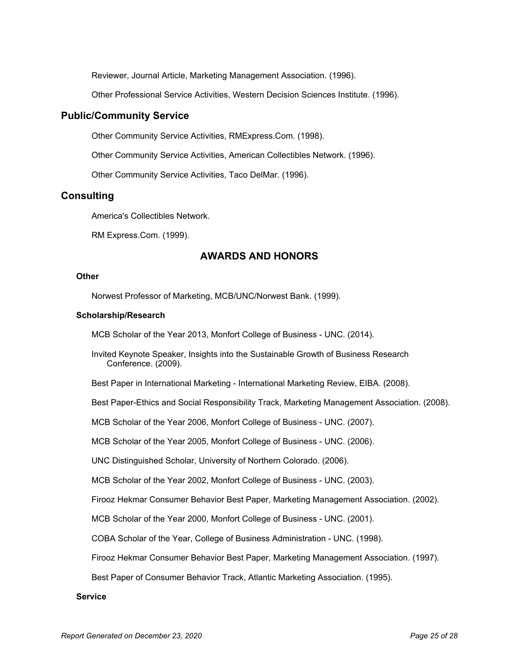Reviewer, Journal Article, Marketing Management Association. (1996).

Other Professional Service Activities, Western Decision Sciences Institute. (1996).

### **Public/Community Service**

Other Community Service Activities, RMExpress.Com. (1998).

Other Community Service Activities, American Collectibles Network. (1996).

Other Community Service Activities, Taco DelMar. (1996).

# **Consulting**

America's Collectibles Network.

RM Express.Com. (1999).

# **AWARDS AND HONORS**

### **Other**

Norwest Professor of Marketing, MCB/UNC/Norwest Bank. (1999).

### **Scholarship/Research**

MCB Scholar of the Year 2013, Monfort College of Business - UNC. (2014).

Invited Keynote Speaker, Insights into the Sustainable Growth of Business Research Conference. (2009).

Best Paper in International Marketing - International Marketing Review, EIBA. (2008).

Best Paper-Ethics and Social Responsibility Track, Marketing Management Association. (2008).

MCB Scholar of the Year 2006, Monfort College of Business - UNC. (2007).

MCB Scholar of the Year 2005, Monfort College of Business - UNC. (2006).

UNC Distinguished Scholar, University of Northern Colorado. (2006).

MCB Scholar of the Year 2002, Monfort College of Business - UNC. (2003).

Firooz Hekmar Consumer Behavior Best Paper, Marketing Management Association. (2002).

MCB Scholar of the Year 2000, Monfort College of Business - UNC. (2001).

COBA Scholar of the Year, College of Business Administration - UNC. (1998).

Firooz Hekmar Consumer Behavior Best Paper, Marketing Management Association. (1997).

Best Paper of Consumer Behavior Track, Atlantic Marketing Association. (1995).

### **Service**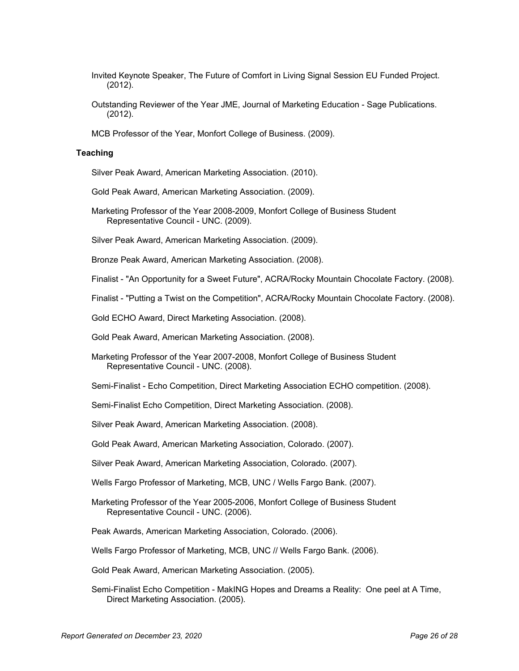- Invited Keynote Speaker, The Future of Comfort in Living Signal Session EU Funded Project. (2012).
- Outstanding Reviewer of the Year JME, Journal of Marketing Education Sage Publications. (2012).
- MCB Professor of the Year, Monfort College of Business. (2009).

### **Teaching**

Silver Peak Award, American Marketing Association. (2010).

- Gold Peak Award, American Marketing Association. (2009).
- Marketing Professor of the Year 2008-2009, Monfort College of Business Student Representative Council - UNC. (2009).
- Silver Peak Award, American Marketing Association. (2009).

Bronze Peak Award, American Marketing Association. (2008).

Finalist - "An Opportunity for a Sweet Future", ACRA/Rocky Mountain Chocolate Factory. (2008).

Finalist - "Putting a Twist on the Competition", ACRA/Rocky Mountain Chocolate Factory. (2008).

Gold ECHO Award, Direct Marketing Association. (2008).

Gold Peak Award, American Marketing Association. (2008).

Marketing Professor of the Year 2007-2008, Monfort College of Business Student Representative Council - UNC. (2008).

Semi-Finalist - Echo Competition, Direct Marketing Association ECHO competition. (2008).

Semi-Finalist Echo Competition, Direct Marketing Association. (2008).

Silver Peak Award, American Marketing Association. (2008).

Gold Peak Award, American Marketing Association, Colorado. (2007).

Silver Peak Award, American Marketing Association, Colorado. (2007).

Wells Fargo Professor of Marketing, MCB, UNC / Wells Fargo Bank. (2007).

Marketing Professor of the Year 2005-2006, Monfort College of Business Student Representative Council - UNC. (2006).

Peak Awards, American Marketing Association, Colorado. (2006).

Wells Fargo Professor of Marketing, MCB, UNC // Wells Fargo Bank. (2006).

Gold Peak Award, American Marketing Association. (2005).

Semi-Finalist Echo Competition - MakING Hopes and Dreams a Reality: One peel at A Time, Direct Marketing Association. (2005).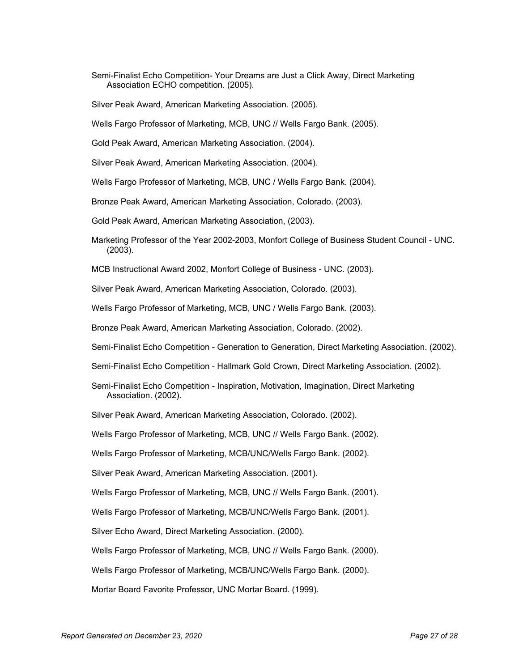- Semi-Finalist Echo Competition- Your Dreams are Just a Click Away, Direct Marketing Association ECHO competition. (2005).
- Silver Peak Award, American Marketing Association. (2005).
- Wells Fargo Professor of Marketing, MCB, UNC // Wells Fargo Bank. (2005).
- Gold Peak Award, American Marketing Association. (2004).
- Silver Peak Award, American Marketing Association. (2004).
- Wells Fargo Professor of Marketing, MCB, UNC / Wells Fargo Bank. (2004).
- Bronze Peak Award, American Marketing Association, Colorado. (2003).
- Gold Peak Award, American Marketing Association, (2003).
- Marketing Professor of the Year 2002-2003, Monfort College of Business Student Council UNC. (2003).
- MCB Instructional Award 2002, Monfort College of Business UNC. (2003).
- Silver Peak Award, American Marketing Association, Colorado. (2003).
- Wells Fargo Professor of Marketing, MCB, UNC / Wells Fargo Bank. (2003).
- Bronze Peak Award, American Marketing Association, Colorado. (2002).
- Semi-Finalist Echo Competition Generation to Generation, Direct Marketing Association. (2002).
- Semi-Finalist Echo Competition Hallmark Gold Crown, Direct Marketing Association. (2002).
- Semi-Finalist Echo Competition Inspiration, Motivation, Imagination, Direct Marketing Association. (2002).
- Silver Peak Award, American Marketing Association, Colorado. (2002).
- Wells Fargo Professor of Marketing, MCB, UNC // Wells Fargo Bank. (2002).
- Wells Fargo Professor of Marketing, MCB/UNC/Wells Fargo Bank. (2002).
- Silver Peak Award, American Marketing Association. (2001).
- Wells Fargo Professor of Marketing, MCB, UNC // Wells Fargo Bank. (2001).
- Wells Fargo Professor of Marketing, MCB/UNC/Wells Fargo Bank. (2001).
- Silver Echo Award, Direct Marketing Association. (2000).
- Wells Fargo Professor of Marketing, MCB, UNC // Wells Fargo Bank. (2000).
- Wells Fargo Professor of Marketing, MCB/UNC/Wells Fargo Bank. (2000).
- Mortar Board Favorite Professor, UNC Mortar Board. (1999).